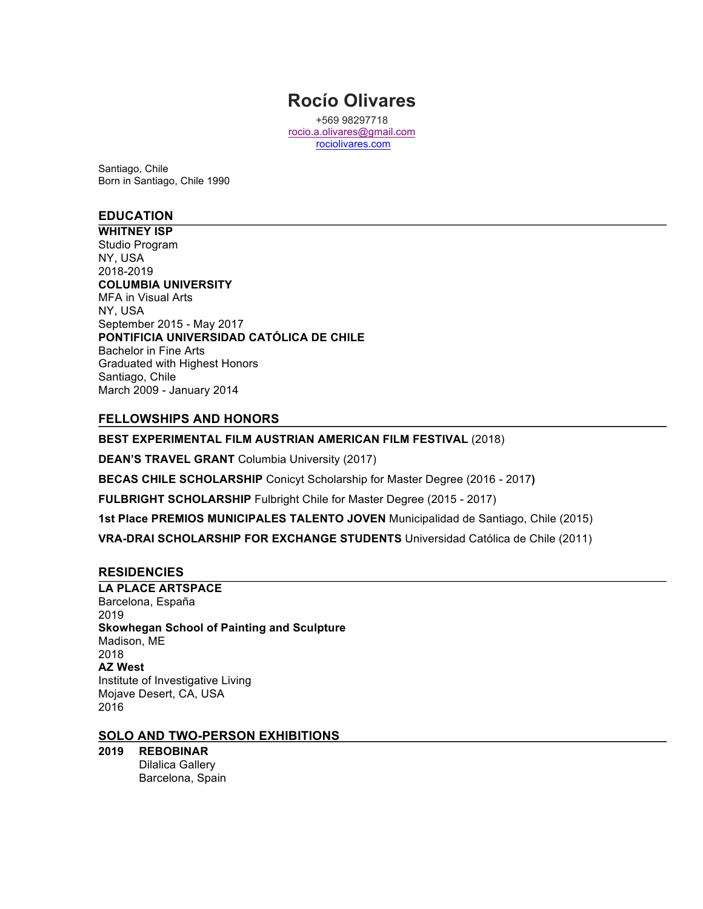# **Rocío Olivares**

+569 98297718 rocio.a.olivares@gmail.com rociolivares.com

Santiago, Chile Born in Santiago, Chile 1990

# **EDUCATION**

**WHITNEY ISP** Studio Program NY, USA 2018-2019 **COLUMBIA UNIVERSITY** MFA in Visual Arts NY, USA September 2015 - May 2017 **PONTIFICIA UNIVERSIDAD CATÓLICA DE CHILE** Bachelor in Fine Arts Graduated with Highest Honors Santiago, Chile March 2009 - January 2014

## **FELLOWSHIPS AND HONORS**

**BEST EXPERIMENTAL FILM AUSTRIAN AMERICAN FILM FESTIVAL** (2018)

**DEAN'S TRAVEL GRANT** Columbia University (2017)

**BECAS CHILE SCHOLARSHIP** Conicyt Scholarship for Master Degree (2016 - 2017**)**

**FULBRIGHT SCHOLARSHIP** Fulbright Chile for Master Degree (2015 - 2017)

**1st Place PREMIOS MUNICIPALES TALENTO JOVEN** Municipalidad de Santiago, Chile (2015)

**VRA-DRAI SCHOLARSHIP FOR EXCHANGE STUDENTS** Universidad Católica de Chile (2011)

## **RESIDENCIES**

**LA PLACE ARTSPACE** Barcelona, España 2019 **Skowhegan School of Painting and Sculpture** Madison, ME 2018 **AZ West** Institute of Investigative Living Mojave Desert, CA, USA 2016

#### **SOLO AND TWO-PERSON EXHIBITIONS**

#### **2019 REBOBINAR**

Dilalica Gallery Barcelona, Spain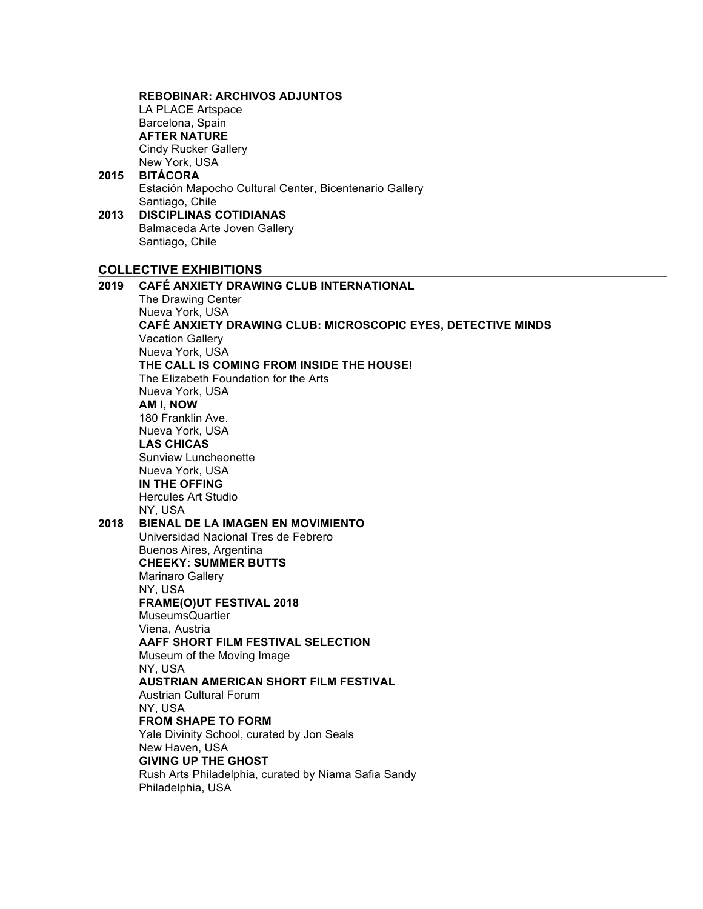**REBOBINAR: ARCHIVOS ADJUNTOS** LA PLACE Artspace Barcelona, Spain **AFTER NATURE** Cindy Rucker Gallery New York, USA **2015 BITÁCORA** Estación Mapocho Cultural Center, Bicentenario Gallery Santiago, Chile **2013 DISCIPLINAS COTIDIANAS** Balmaceda Arte Joven Gallery Santiago, Chile **COLLECTIVE EXHIBITIONS 2019 CAFÉ ANXIETY DRAWING CLUB INTERNATIONAL** The Drawing Center Nueva York, USA **CAFÉ ANXIETY DRAWING CLUB: MICROSCOPIC EYES, DETECTIVE MINDS** Vacation Gallery Nueva York, USA **THE CALL IS COMING FROM INSIDE THE HOUSE!** The Elizabeth Foundation for the Arts Nueva York, USA **AM I, NOW** 180 Franklin Ave. Nueva York, USA **LAS CHICAS**  Sunview Luncheonette Nueva York, USA **IN THE OFFING** Hercules Art Studio NY, USA **2018 BIENAL DE LA IMAGEN EN MOVIMIENTO** Universidad Nacional Tres de Febrero Buenos Aires, Argentina **CHEEKY: SUMMER BUTTS** Marinaro Gallery NY, USA **FRAME(O)UT FESTIVAL 2018**  MuseumsQuartier Viena, Austria **AAFF SHORT FILM FESTIVAL SELECTION** Museum of the Moving Image NY, USA **AUSTRIAN AMERICAN SHORT FILM FESTIVAL**  Austrian Cultural Forum NY, USA **FROM SHAPE TO FORM**  Yale Divinity School, curated by Jon Seals New Haven, USA **GIVING UP THE GHOST** Rush Arts Philadelphia, curated by Niama Safia Sandy Philadelphia, USA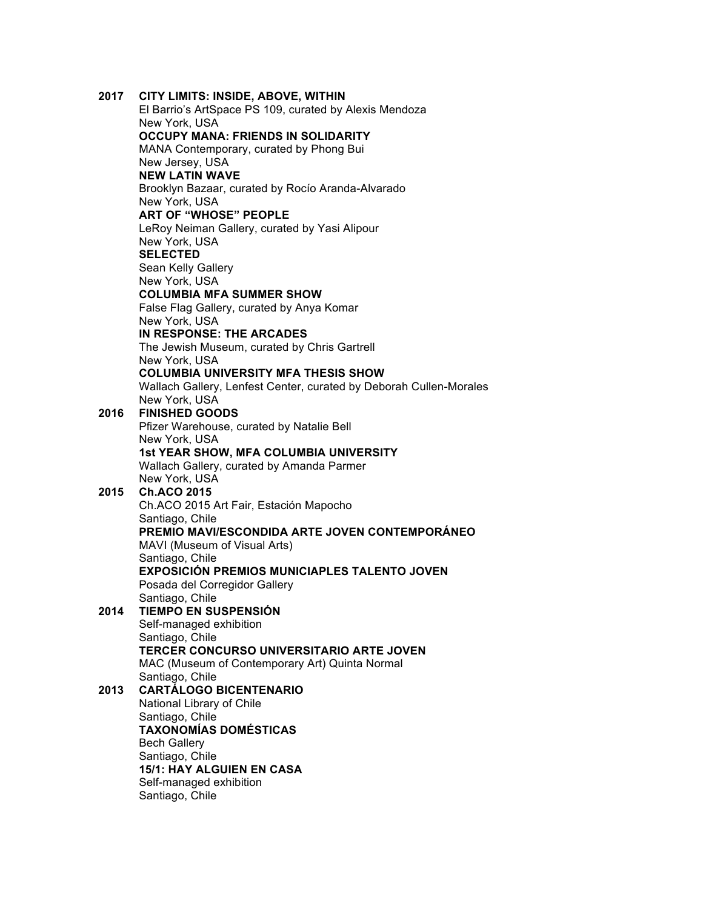| 2017 | CITY LIMITS: INSIDE, ABOVE, WITHIN                                 |
|------|--------------------------------------------------------------------|
|      | El Barrio's ArtSpace PS 109, curated by Alexis Mendoza             |
|      | New York, USA                                                      |
|      | <b>OCCUPY MANA: FRIENDS IN SOLIDARITY</b>                          |
|      | MANA Contemporary, curated by Phong Bui                            |
|      | New Jersey, USA                                                    |
|      | <b>NEW LATIN WAVE</b>                                              |
|      | Brooklyn Bazaar, curated by Rocío Aranda-Alvarado                  |
|      | New York, USA                                                      |
|      | <b>ART OF "WHOSE" PEOPLE</b>                                       |
|      | LeRoy Neiman Gallery, curated by Yasi Alipour                      |
|      | New York, USA                                                      |
|      | <b>SELECTED</b>                                                    |
|      | Sean Kelly Gallery                                                 |
|      | New York, USA<br><b>COLUMBIA MFA SUMMER SHOW</b>                   |
|      | False Flag Gallery, curated by Anya Komar                          |
|      | New York, USA                                                      |
|      | IN RESPONSE: THE ARCADES                                           |
|      | The Jewish Museum, curated by Chris Gartrell                       |
|      | New York, USA                                                      |
|      | <b>COLUMBIA UNIVERSITY MFA THESIS SHOW</b>                         |
|      | Wallach Gallery, Lenfest Center, curated by Deborah Cullen-Morales |
|      | New York, USA                                                      |
| 2016 | <b>FINISHED GOODS</b>                                              |
|      | Pfizer Warehouse, curated by Natalie Bell                          |
|      | New York, USA                                                      |
|      | <b>1st YEAR SHOW, MFA COLUMBIA UNIVERSITY</b>                      |
|      | Wallach Gallery, curated by Amanda Parmer                          |
|      | New York, USA                                                      |
| 2015 | <b>Ch.ACO 2015</b>                                                 |
|      | Ch.ACO 2015 Art Fair, Estación Mapocho<br>Santiago, Chile          |
|      | PREMIO MAVI/ESCONDIDA ARTE JOVEN CONTEMPORÁNEO                     |
|      | MAVI (Museum of Visual Arts)                                       |
|      | Santiago, Chile                                                    |
|      | <b>EXPOSICIÓN PREMIOS MUNICIAPLES TALENTO JOVEN</b>                |
|      | Posada del Corregidor Gallery                                      |
|      | Santiago, Chile                                                    |
| 2014 | <b>TIEMPO EN SUSPENSIÓN</b>                                        |
|      | Self-managed exhibition                                            |
|      | Santiago, Chile                                                    |
|      | TERCER CONCURSO UNIVERSITARIO ARTE JOVEN                           |
|      | MAC (Museum of Contemporary Art) Quinta Normal                     |
|      | Santiago, Chile                                                    |
| 2013 | <b>CARTÁLOGO BICENTENARIO</b>                                      |
|      | National Library of Chile                                          |
|      | Santiago, Chile<br><b>TAXONOMÍAS DOMÉSTICAS</b>                    |
|      | <b>Bech Gallery</b>                                                |
|      | Santiago, Chile                                                    |
|      | <b>15/1: HAY ALGUIEN EN CASA</b>                                   |
|      | Self-managed exhibition                                            |
|      | Santiago, Chile                                                    |
|      |                                                                    |